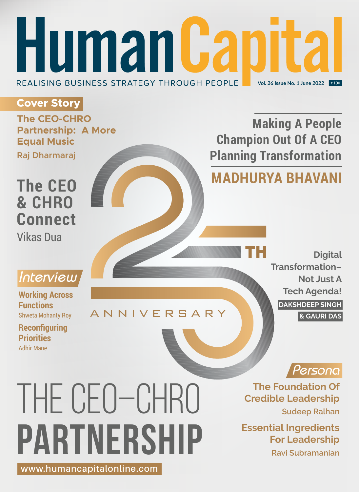## **Human Capit** REALISING BUSINESS STRATEGY THROUGH PEOPLE **Vol. 26 Issue No. 1 June 2022**

## **Cover Story**

**The CEO-CHRO Partnership: A More Equal Music Raj Dharmaraj**

## **The CEO & CHRO Connect** Vikas Dua

## **Making A People Champion Out Of A CEO Planning Transformation MADHURYA BHAVANI**

**Digital Transformation– Not Just A Tech Agenda! DAKSHDEEP SINGH & GAURI DAS**



**Working Across Functions** Shweta Mohanty Roy

Adhir Mane **Reconfiguring Priorities**

## **ANNIVERSARY**

*Persona* **The Foundation Of Credible Leadership Sudeep Ralhan**

> **Essential Ingredients For Leadership Ravi Subramanian**

# The CEO–CHRO **Partnership www.humancapitalonline.com**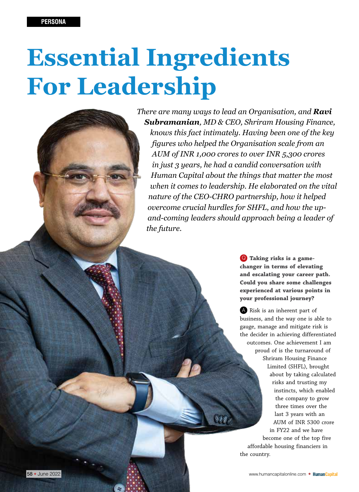# **Essential Ingredients For Leadership**

*There are many ways to lead an Organisation, and Ravi Subramanian, MD & CEO, Shriram Housing Finance, knows this fact intimately. Having been one of the key figures who helped the Organisation scale from an AUM of INR 1,000 crores to over INR 5,300 crores in just 3 years, he had a candid conversation with Human Capital about the things that matter the most when it comes to leadership. He elaborated on the vital nature of the CEO-CHRO partnership, how it helped overcome crucial hurdles for SHFL, and how the upand-coming leaders should approach being a leader of the future.* 

> Q **Taking risks is a gamechanger in terms of elevating and escalating your career path. Could you share some challenges experienced at various points in your professional journey?**

A Risk is an inherent part of business, and the way one is able to gauge, manage and mitigate risk is the decider in achieving differentiated outcomes. One achievement I am proud of is the turnaround of Shriram Housing Finance Limited (SHFL), brought about by taking calculated risks and trusting my instincts, which enabled the company to grow three times over the last 3 years with an AUM of INR 5300 crore in FY22 and we have become one of the top five affordable housing financiers in the country.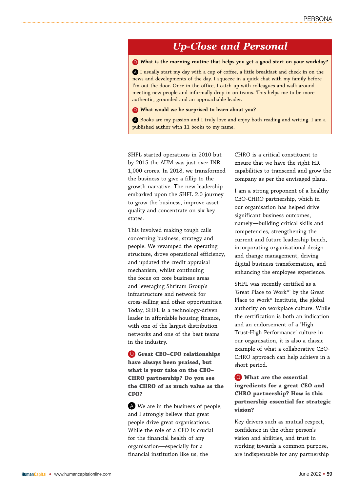### *Up-Close and Personal*

Q **What is the morning routine that helps you get a good start on your workday?**

A I usually start my day with a cup of coffee, a little breakfast and check in on the news and developments of the day. I squeeze in a quick chat with my family before I'm out the door. Once in the office, I catch up with colleagues and walk around meeting new people and informally drop in on teams. This helps me to be more authentic, grounded and an approachable leader.

#### Q **What would we be surprised to learn about you?**

A Books are my passion and I truly love and enjoy both reading and writing. I am a published author with 11 books to my name.

SHFL started operations in 2010 but by 2015 the AUM was just over INR 1,000 crores. In 2018, we transformed the business to give a fillip to the growth narrative. The new leadership embarked upon the SHFL 2.0 journey to grow the business, improve asset quality and concentrate on six key states.

This involved making tough calls concerning business, strategy and people. We revamped the operating structure, drove operational efficiency, and updated the credit appraisal mechanism, whilst continuing the focus on core business areas and leveraging Shriram Group's infrastructure and network for cross-selling and other opportunities. Today, SHFL is a technology-driven leader in affordable housing finance, with one of the largest distribution networks and one of the best teams in the industry.

Q **Great CEO–CFO relationships have always been praised, but what is your take on the CEO– CHRO partnership? Do you see the CHRO of as much value as the CFO?**

A We are in the business of people, and I strongly believe that great people drive great organisations. While the role of a CFO is crucial for the financial health of any organisation—especially for a financial institution like us, the

CHRO is a critical constituent to ensure that we have the right HR capabilities to transcend and grow the company as per the envisaged plans.

I am a strong proponent of a healthy CEO-CHRO partnership, which in our organisation has helped drive significant business outcomes, namely—building critical skills and competencies, strengthening the current and future leadership bench, incorporating organisational design and change management, driving digital business transformation, and enhancing the employee experience.

SHFL was recently certified as a 'Great Place to Work®' by the Great Place to Work® Institute, the global authority on workplace culture. While the certification is both an indication and an endorsement of a 'High Trust-High Performance' culture in our organisation, it is also a classic example of what a collaborative CEO-CHRO approach can help achieve in a short period.

Q **What are the essential ingredients for a great CEO and CHRO partnership? How is this partnership essential for strategic vision?**

Key drivers such as mutual respect, confidence in the other person's vision and abilities, and trust in working towards a common purpose, are indispensable for any partnership